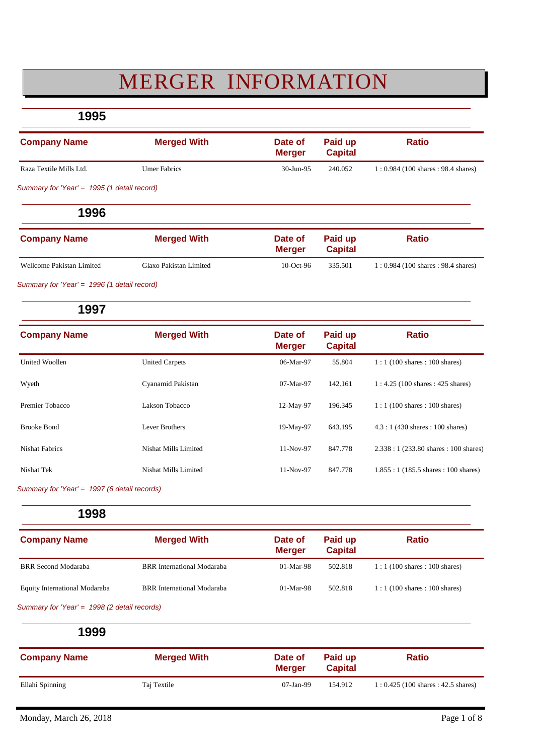# MERGER INFORMATION

**1995**

| <b>Company Name</b>                         | <b>Merged With</b>  | Date of<br>Meraer | Paid up<br><b>Capital</b> | <b>Ratio</b>                          |
|---------------------------------------------|---------------------|-------------------|---------------------------|---------------------------------------|
| Raza Textile Mills Ltd.                     | <b>Umer Fabrics</b> | 30-Jun-95         | 240.052                   | $1: 0.984$ (100 shares : 98.4 shares) |
| Summary for 'Year' = 1995 (1 detail record) |                     |                   |                           |                                       |

**1996**

| <b>Company Name</b>       | <b>Merged With</b>     | Date of<br><b>Merger</b> | Paid up<br><b>Capital</b> | <b>Ratio</b>                        |
|---------------------------|------------------------|--------------------------|---------------------------|-------------------------------------|
| Wellcome Pakistan Limited | Glaxo Pakistan Limited | $10$ -Oct-96             | 335.501                   | 1: 0.984 (100 shares : 98.4 shares) |

*Summary for 'Year' = 1996 (1 detail record)*

#### **1997**

| <b>Company Name</b>   | <b>Merged With</b>    | Date of<br><b>Merger</b> | Paid up<br><b>Capital</b> | <b>Ratio</b>                                         |
|-----------------------|-----------------------|--------------------------|---------------------------|------------------------------------------------------|
| United Woollen        | <b>United Carpets</b> | 06-Mar-97                | 55.804                    | $1:1(100 \text{ shares}:100 \text{ shares})$         |
| Wyeth                 | Cyanamid Pakistan     | 07-Mar-97                | 142.161                   | $1:4.25(100 \text{ shares}: 425 \text{ shares})$     |
| Premier Tobacco       | Lakson Tobacco        | 12-May-97                | 196.345                   | $1:1(100 \text{ shares}:100 \text{ shares})$         |
| Brooke Bond           | Lever Brothers        | 19-May-97                | 643.195                   | $4.3:1(430 \text{ shares}: 100 \text{ shares})$      |
| <b>Nishat Fabrics</b> | Nishat Mills Limited  | 11-Nov-97                | 847.778                   | $2.338:1(233.80 \text{ shares}: 100 \text{ shares})$ |
| Nishat Tek            | Nishat Mills Limited  | 11-Nov-97                | 847.778                   | $1.855:1(185.5 \text{ shares}: 100 \text{ shares})$  |

*Summary for 'Year' = 1997 (6 detail records)*

**1998**

| <b>Company Name</b>           | <b>Merged With</b>                | Date of<br><b>Merger</b> | Paid up<br><b>Capital</b> | <b>Ratio</b>                                 |
|-------------------------------|-----------------------------------|--------------------------|---------------------------|----------------------------------------------|
| <b>BRR</b> Second Modaraba    | BRR International Modaraba        | $01-Mar-98$              | 502.818                   | $1:1(100 \text{ shares}:100 \text{ shares})$ |
| Equity International Modaraba | <b>BRR</b> International Modaraba | $01-Mar-98$              | 502.818                   | $1:1(100 \text{ shares}:100 \text{ shares})$ |

*Summary for 'Year' = 1998 (2 detail records)*

| <b>Company Name</b> | <b>Merged With</b> | Date of<br><b>Merger</b> | Paid up<br><b>Capital</b> | <b>Ratio</b>                        |
|---------------------|--------------------|--------------------------|---------------------------|-------------------------------------|
| Ellahi Spinning     | Taj Textile        | 07-Jan-99                | 154.912                   | 1: 0.425 (100 shares : 42.5 shares) |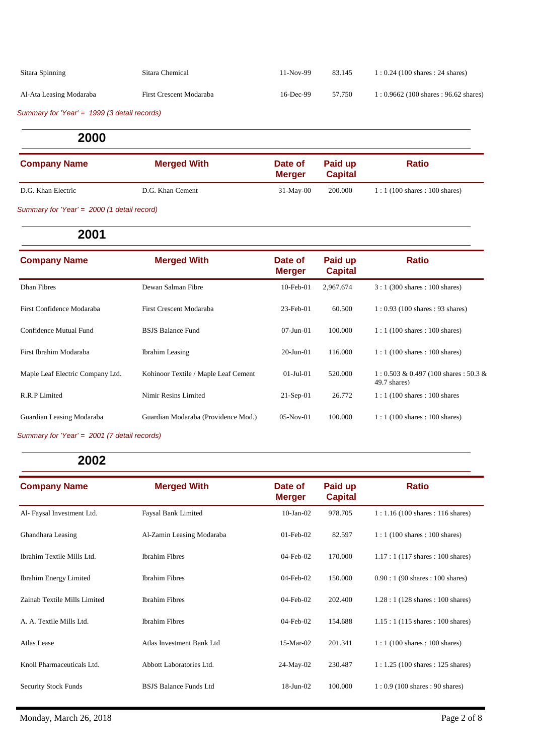| Sitara Spinning         | Sitara Chemical         | 11-Nov-99 | 83.145 | $1:0.24(100 \text{ shares}:24 \text{ shares})$ |
|-------------------------|-------------------------|-----------|--------|------------------------------------------------|
| Al-Ata Leasing Modaraba | First Crescent Modaraba | 16-Dec-99 | 57.750 | $1: 0.9662$ (100 shares : 96.62 shares)        |

*Summary for 'Year' = 1999 (3 detail records)*

**2000**

| <b>Company Name</b> | <b>Merged With</b> | Date of<br><b>Merger</b> | Paid up<br><b>Capital</b> | <b>Ratio</b>                                 |
|---------------------|--------------------|--------------------------|---------------------------|----------------------------------------------|
| D.G. Khan Electric  | D.G. Khan Cement   | $31-May-00$              | 200.000                   | $1:1(100 \text{ shares}:100 \text{ shares})$ |
|                     |                    |                          |                           |                                              |

*Summary for 'Year' = 2000 (1 detail record)*

**2001**

| <b>Company Name</b>              | <b>Merged With</b>                   | Date of<br><b>Merger</b> | Paid up<br><b>Capital</b> | <b>Ratio</b>                                              |
|----------------------------------|--------------------------------------|--------------------------|---------------------------|-----------------------------------------------------------|
| Dhan Fibres                      | Dewan Salman Fibre                   | $10$ -Feb- $01$          | 2.967.674                 | $3:1(300 \text{ shares}: 100 \text{ shares})$             |
| First Confidence Modaraba        | First Crescent Modaraba              | $23$ -Feb-01             | 60.500                    | $1: 0.93$ (100 shares : 93 shares)                        |
| Confidence Mutual Fund           | <b>BSJS Balance Fund</b>             | $07 - Jun - 01$          | 100.000                   | $1:1(100 \text{ shares}:100 \text{ shares})$              |
| First Ibrahim Modaraba           | <b>Ibrahim</b> Leasing               | $20 - \text{Jun} - 01$   | 116.000                   | $1:1(100 \text{ shares}:100 \text{ shares})$              |
| Maple Leaf Electric Company Ltd. | Kohinoor Textile / Maple Leaf Cement | $01-Ju1-01$              | 520,000                   | $1: 0.503 \& 0.497 (100 shares : 50.3 \&$<br>49.7 shares) |
| R.R.P Limited                    | Nimir Resins Limited                 | $21-Sep-01$              | 26.772                    | $1:1(100 \text{ shares}:100 \text{ shares})$              |
| Guardian Leasing Modaraba        | Guardian Modaraba (Providence Mod.)  | $05-Nov-01$              | 100.000                   | $1:1(100 \text{ shares}:100 \text{ shares})$              |

*Summary for 'Year' = 2001 (7 detail records)*

| <b>Company Name</b>           | <b>Merged With</b>            | Date of<br><b>Merger</b> | Paid up<br><b>Capital</b> | <b>Ratio</b>                                     |
|-------------------------------|-------------------------------|--------------------------|---------------------------|--------------------------------------------------|
| Al- Faysal Investment Ltd.    | Faysal Bank Limited           | $10$ -Jan- $02$          | 978.705                   | $1:1.16(100 \text{ shares}: 116 \text{ shares})$ |
| Ghandhara Leasing             | Al-Zamin Leasing Modaraba     | $01$ -Feb- $02$          | 82.597                    | $1:1(100 \text{ shares}: 100 \text{ shares})$    |
| Ibrahim Textile Mills Ltd.    | <b>Ibrahim Fibres</b>         | $04$ -Feb- $02$          | 170.000                   | $1.17:1(117 \text{ shares}: 100 \text{ shares})$ |
| <b>Ibrahim Energy Limited</b> | <b>Ibrahim Fibres</b>         | $04$ -Feb- $02$          | 150.000                   | $0.90:1(90 \text{ shares}:100 \text{ shares})$   |
| Zainab Textile Mills Limited  | <b>Ibrahim Fibres</b>         | $04$ -Feb- $02$          | 202.400                   | $1.28:1(128 \text{ shares}:100 \text{ shares})$  |
| A. A. Textile Mills Ltd.      | <b>Ibrahim Fibres</b>         | $04$ -Feb- $02$          | 154.688                   | $1.15:1(115 \text{ shares}: 100 \text{ shares})$ |
| Atlas Lease                   | Atlas Investment Bank Ltd     | $15-Mar-02$              | 201.341                   | $1:1(100 \text{ shares}: 100 \text{ shares})$    |
| Knoll Pharmaceuticals Ltd.    | Abbott Laboratories Ltd.      | $24-May-02$              | 230.487                   | $1:1.25(100 \text{ shares}: 125 \text{ shares})$ |
| <b>Security Stock Funds</b>   | <b>BSJS Balance Funds Ltd</b> | $18$ -Jun- $02$          | 100.000                   | $1:0.9(100 \text{ shares}:90 \text{ shares})$    |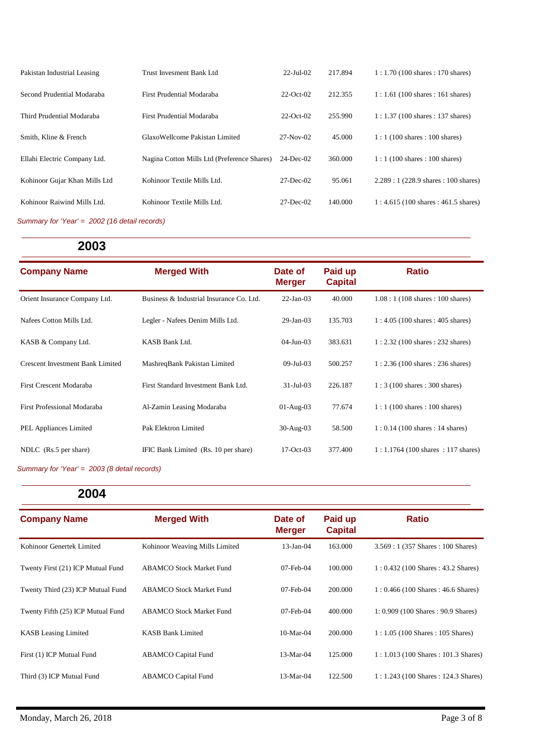| Pakistan Industrial Leasing   | Trust Invesment Bank Ltd                    | $22$ -Jul-02  | 217.894 | $1:1.70(100 \text{ shares}: 170 \text{ shares})$    |
|-------------------------------|---------------------------------------------|---------------|---------|-----------------------------------------------------|
| Second Prudential Modaraba    | First Prudential Modaraba                   | $22$ -Oct-02  | 212.355 | $1:1.61(100 \text{ shares}:161 \text{ shares})$     |
| Third Prudential Modaraba     | First Prudential Modaraba                   | $22$ -Oct-02  | 255.990 | $1:1.37(100 \text{ shares}:137 \text{ shares})$     |
| Smith, Kline & French         | GlaxoWellcome Pakistan Limited              | $27-Nov-02$   | 45,000  | $1:1(100 \text{ shares}:100 \text{ shares})$        |
| Ellahi Electric Company Ltd.  | Nagina Cotton Mills Ltd (Preference Shares) | $24$ -Dec-02  | 360,000 | $1:1(100 \text{ shares}:100 \text{ shares})$        |
| Kohinoor Gujar Khan Mills Ltd | Kohinoor Textile Mills Ltd.                 | $27 - Dec-02$ | 95.061  | $2.289:1(228.9 \text{ shares}: 100 \text{ shares})$ |
| Kohinoor Raiwind Mills Ltd.   | Kohinoor Textile Mills Ltd.                 | $27 - Dec-02$ | 140.000 | $1:4.615(100 \text{ shares}: 461.5 \text{ shares})$ |

*Summary for 'Year' = 2002 (16 detail records)*

## **2003**

| <b>Company Name</b>                     | <b>Merged With</b>                       | Date of<br><b>Merger</b> | Paid up<br><b>Capital</b> | <b>Ratio</b>                                      |
|-----------------------------------------|------------------------------------------|--------------------------|---------------------------|---------------------------------------------------|
| Orient Insurance Company Ltd.           | Business & Industrial Insurance Co. Ltd. | $22-Jan-03$              | 40.000                    | $1.08:1(108 \text{ shares}:100 \text{ shares})$   |
| Nafees Cotton Mills Ltd.                | Legler - Nafees Denim Mills Ltd.         | $29$ -Jan-03             | 135.703                   | $1:4.05(100 \text{ shares}: 405 \text{ shares})$  |
| KASB & Company Ltd.                     | KASB Bank Ltd.                           | $04$ -Jun- $03$          | 383.631                   | $1:2.32(100 \text{ shares}:232 \text{ shares})$   |
| <b>Crescent Investment Bank Limited</b> | MashreqBank Pakistan Limited             | $09 - \text{Jul} - 03$   | 500.257                   | $1:2.36(100 \text{ shares}:236 \text{ shares})$   |
| First Crescent Modaraba                 | First Standard Investment Bank Ltd.      | $31 - \text{Jul} - 03$   | 226.187                   | $1:3(100 \text{ shares}:300 \text{ shares})$      |
| First Professional Modaraba             | Al-Zamin Leasing Modaraba                | $01-Aug-03$              | 77.674                    | $1:1(100 \text{ shares}:100 \text{ shares})$      |
| <b>PEL Appliances Limited</b>           | Pak Elektron Limited                     | $30-Aug-03$              | 58.500                    | $1: 0.14$ (100 shares : 14 shares)                |
| NDLC (Rs.5 per share)                   | IFIC Bank Limited (Rs. 10 per share)     | $17-Oct-03$              | 377.400                   | $1:1.1764(100 \text{ shares}:117 \text{ shares})$ |

*Summary for 'Year' = 2003 (8 detail records)*

| <b>Company Name</b>               | <b>Merged With</b>              | Date of<br><b>Merger</b> | Paid up<br><b>Capital</b> | <b>Ratio</b>                                         |
|-----------------------------------|---------------------------------|--------------------------|---------------------------|------------------------------------------------------|
| Kohinoor Genertek Limited         | Kohinoor Weaving Mills Limited  | $13$ -Jan- $04$          | 163.000                   | $3.569:1(357 \text{ shares}: 100 \text{ shares})$    |
| Twenty First (21) ICP Mutual Fund | <b>ABAMCO Stock Market Fund</b> | $07$ -Feb- $04$          | 100.000                   | $1:0.432(100 \text{ shares}: 43.2 \text{ shares})$   |
| Twenty Third (23) ICP Mutual Fund | <b>ABAMCO Stock Market Fund</b> | $07$ -Feb- $04$          | 200,000                   | $1:0.466(100 \text{ shares}: 46.6 \text{ shares})$   |
| Twenty Fifth (25) ICP Mutual Fund | <b>ABAMCO Stock Market Fund</b> | $07$ -Feb- $04$          | 400.000                   | $1: 0.909$ (100 Shares : 90.9 Shares)                |
| <b>KASB</b> Leasing Limited       | <b>KASB Bank Limited</b>        | $10-Mar-04$              | 200,000                   | $1:1.05(100 \text{ shares}:105 \text{ shares})$      |
| First (1) ICP Mutual Fund         | <b>ABAMCO Capital Fund</b>      | 13-Mar-04                | 125.000                   | $1: 1.013(100 \text{ shares}: 101.3 \text{ shares})$ |
| Third (3) ICP Mutual Fund         | <b>ABAMCO</b> Capital Fund      | $13-Mar-04$              | 122.500                   | $1:1.243(100 \text{ shares}:124.3 \text{ shares})$   |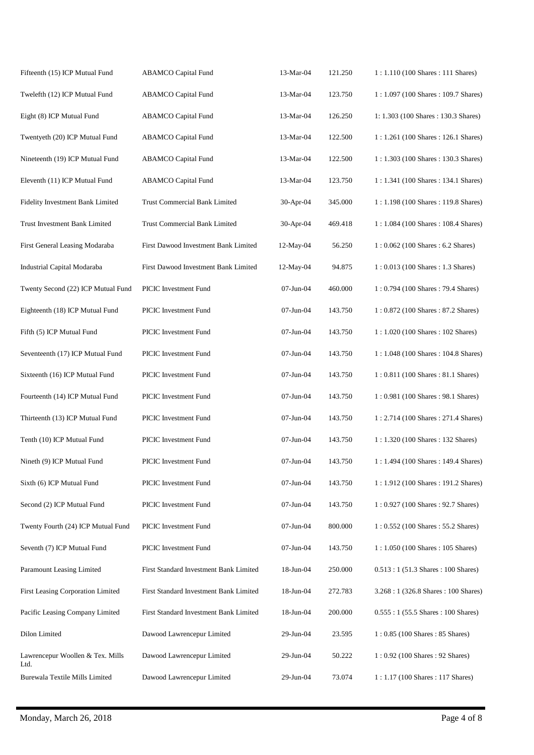| Fifteenth (15) ICP Mutual Fund           | <b>ABAMCO</b> Capital Fund             | 13-Mar-04 | 121.250 | 1: 1.110 (100 Shares: 111 Shares)                     |
|------------------------------------------|----------------------------------------|-----------|---------|-------------------------------------------------------|
| Twelefth (12) ICP Mutual Fund            | <b>ABAMCO</b> Capital Fund             | 13-Mar-04 | 123.750 | 1: 1.097 (100 Shares: 109.7 Shares)                   |
| Eight (8) ICP Mutual Fund                | <b>ABAMCO</b> Capital Fund             | 13-Mar-04 | 126.250 | 1: 1.303 (100 Shares: 130.3 Shares)                   |
| Twentyeth (20) ICP Mutual Fund           | <b>ABAMCO</b> Capital Fund             | 13-Mar-04 | 122.500 | 1: 1.261 (100 Shares: 126.1 Shares)                   |
| Nineteenth (19) ICP Mutual Fund          | ABAMCO Capital Fund                    | 13-Mar-04 | 122.500 | 1:1.303 (100 Shares: 130.3 Shares)                    |
| Eleventh (11) ICP Mutual Fund            | <b>ABAMCO</b> Capital Fund             | 13-Mar-04 | 123.750 | 1: 1.341 (100 Shares: 134.1 Shares)                   |
| Fidelity Investment Bank Limited         | <b>Trust Commercial Bank Limited</b>   | 30-Apr-04 | 345.000 | 1: 1.198 (100 Shares: 119.8 Shares)                   |
| Trust Investment Bank Limited            | <b>Trust Commercial Bank Limited</b>   | 30-Apr-04 | 469.418 | 1: 1.084 (100 Shares: 108.4 Shares)                   |
| First General Leasing Modaraba           | First Dawood Investment Bank Limited   | 12-May-04 | 56.250  | 1:0.062 (100 Shares: 6.2 Shares)                      |
| Industrial Capital Modaraba              | First Dawood Investment Bank Limited   | 12-May-04 | 94.875  | $1:0.013(100 \text{ shares}: 1.3 \text{ shares})$     |
| Twenty Second (22) ICP Mutual Fund       | PICIC Investment Fund                  | 07-Jun-04 | 460.000 | 1: 0.794 (100 Shares: 79.4 Shares)                    |
| Eighteenth (18) ICP Mutual Fund          | PICIC Investment Fund                  | 07-Jun-04 | 143.750 | 1:0.872 (100 Shares: 87.2 Shares)                     |
| Fifth (5) ICP Mutual Fund                | PICIC Investment Fund                  | 07-Jun-04 | 143.750 | 1: 1.020 (100 Shares: 102 Shares)                     |
| Seventeenth (17) ICP Mutual Fund         | PICIC Investment Fund                  | 07-Jun-04 | 143.750 | 1: 1.048 (100 Shares: 104.8 Shares)                   |
| Sixteenth (16) ICP Mutual Fund           | PICIC Investment Fund                  | 07-Jun-04 | 143.750 | $1:0.811(100 \text{ shares}: 81.1 \text{ shares})$    |
| Fourteenth (14) ICP Mutual Fund          | PICIC Investment Fund                  | 07-Jun-04 | 143.750 | $1:0.981(100 \text{ shares}:98.1 \text{ shares})$     |
| Thirteenth (13) ICP Mutual Fund          | PICIC Investment Fund                  | 07-Jun-04 | 143.750 | 1: 2.714 (100 Shares: 271.4 Shares)                   |
| Tenth (10) ICP Mutual Fund               | PICIC Investment Fund                  | 07-Jun-04 | 143.750 | 1: 1.320 (100 Shares: 132 Shares)                     |
| Nineth (9) ICP Mutual Fund               | PICIC Investment Fund                  | 07-Jun-04 | 143.750 | 1: 1.494 (100 Shares: 149.4 Shares)                   |
| Sixth (6) ICP Mutual Fund                | PICIC Investment Fund                  | 07-Jun-04 | 143.750 | $1:1.912(100 \text{ shares}:191.2 \text{ shares})$    |
| Second (2) ICP Mutual Fund               | PICIC Investment Fund                  | 07-Jun-04 | 143.750 | $1:0.927(100 \text{ shares}:92.7 \text{ shares})$     |
| Twenty Fourth (24) ICP Mutual Fund       | PICIC Investment Fund                  | 07-Jun-04 | 800.000 | $1: 0.552 (100 \text{ shares} : 55.2 \text{ shares})$ |
| Seventh (7) ICP Mutual Fund              | PICIC Investment Fund                  | 07-Jun-04 | 143.750 | $1:1.050(100 \text{ shares}:105 \text{ shares})$      |
| Paramount Leasing Limited                | First Standard Investment Bank Limited | 18-Jun-04 | 250.000 | $0.513:1(51.3 \text{ shares}: 100 \text{ shares})$    |
| First Leasing Corporation Limited        | First Standard Investment Bank Limited | 18-Jun-04 | 272.783 | 3.268 : 1 (326.8 Shares : 100 Shares)                 |
| Pacific Leasing Company Limited          | First Standard Investment Bank Limited | 18-Jun-04 | 200.000 | $0.555:1(55.5 \text{ shares}: 100 \text{ shares})$    |
| Dilon Limited                            | Dawood Lawrencepur Limited             | 29-Jun-04 | 23.595  | $1:0.85(100 \text{ shares}: 85 \text{ shares})$       |
| Lawrencepur Woollen & Tex. Mills<br>Ltd. | Dawood Lawrencepur Limited             | 29-Jun-04 | 50.222  | $1:0.92(100 \text{ shares}:92 \text{ shares})$        |
| Burewala Textile Mills Limited           | Dawood Lawrencepur Limited             | 29-Jun-04 | 73.074  | $1:1.17(100 \text{ shares}:117 \text{ shares})$       |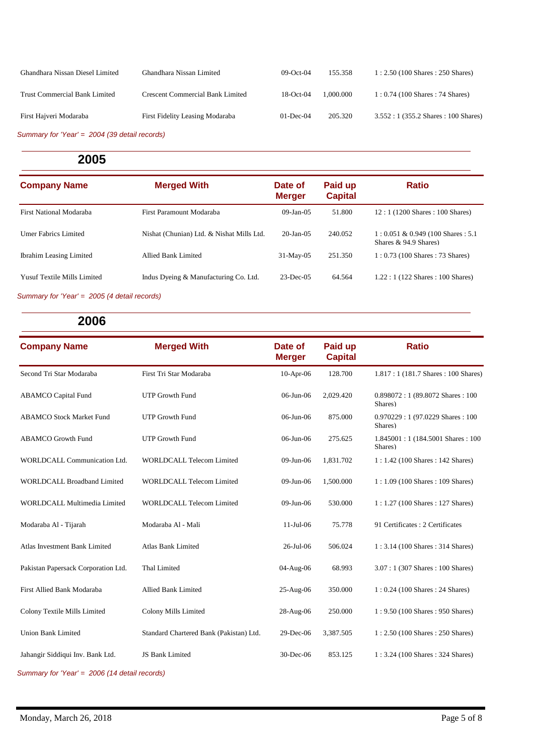| First Hajveri Modaraba               | First Fidelity Leasing Modaraba         | $01$ -Dec-04 | 205.320   | $3.552:1(355.2 \text{ shares}: 100 \text{ shares})$ |
|--------------------------------------|-----------------------------------------|--------------|-----------|-----------------------------------------------------|
| <b>Trust Commercial Bank Limited</b> | <b>Crescent Commercial Bank Limited</b> | $18$ -Oct-04 | 1.000.000 | $1: 0.74$ (100 Shares : 74 Shares)                  |
| Ghandhara Nissan Diesel Limited      | Ghandhara Nissan Limited                | $09-Oct-04$  | 155.358   | $1:2.50(100 \text{ shares}:250 \text{ shares})$     |

*Summary for 'Year' = 2004 (39 detail records)*

### **2005**

| <b>Company Name</b>                | <b>Merged With</b>                        | Date of<br><b>Merger</b> | Paid up<br><b>Capital</b> | <b>Ratio</b>                                                    |
|------------------------------------|-------------------------------------------|--------------------------|---------------------------|-----------------------------------------------------------------|
| First National Modaraba            | First Paramount Modaraba                  | $09$ -Jan- $05$          | 51.800                    | $12:1(1200 \text{ shares}: 100 \text{ shares})$                 |
| Umer Fabrics Limited               | Nishat (Chunian) Ltd. & Nishat Mills Ltd. | $20$ -Jan- $05$          | 240.052                   | $1: 0.051 \& 0.949$ (100 Shares : 5.1)<br>Shares & 94.9 Shares) |
| <b>Ibrahim Leasing Limited</b>     | Allied Bank Limited                       | $31-May-05$              | 251.350                   | $1: 0.73$ (100 Shares: 73 Shares)                               |
| <b>Yusuf Textile Mills Limited</b> | Indus Dyeing & Manufacturing Co. Ltd.     | $23$ -Dec-05             | 64.564                    | $1.22:1(122 \text{ shares}: 100 \text{ shares})$                |
|                                    |                                           |                          |                           |                                                                 |

*Summary for 'Year' = 2005 (4 detail records)*

| 2006                                          |                                         |                          |                           |                                                     |  |
|-----------------------------------------------|-----------------------------------------|--------------------------|---------------------------|-----------------------------------------------------|--|
| <b>Company Name</b>                           | <b>Merged With</b>                      | Date of<br><b>Merger</b> | Paid up<br><b>Capital</b> | <b>Ratio</b>                                        |  |
| Second Tri Star Modaraba                      | First Tri Star Modaraba                 | $10-Apr-06$              | 128.700                   | 1.817: 1 (181.7 Shares: 100 Shares)                 |  |
| <b>ABAMCO</b> Capital Fund                    | <b>UTP Growth Fund</b>                  | $06$ -Jun- $06$          | 2,029.420                 | $0.898072:1(89.8072 \text{ shares}: 100$<br>Shares) |  |
| <b>ABAMCO Stock Market Fund</b>               | <b>UTP Growth Fund</b>                  | 06-Jun-06                | 875.000                   | $0.970229:1(97.0229$ Shares: 100<br>Shares)         |  |
| <b>ABAMCO</b> Growth Fund                     | <b>UTP Growth Fund</b>                  | 06-Jun-06                | 275.625                   | 1.845001:1 (184.5001 Shares: 100)<br>Shares)        |  |
| WORLDCALL Communication Ltd.                  | <b>WORLDCALL Telecom Limited</b>        | 09-Jun-06                | 1,831.702                 | $1:1.42(100 \text{ shares}:142 \text{ shares})$     |  |
| <b>WORLDCALL Broadband Limited</b>            | <b>WORLDCALL Telecom Limited</b>        | 09-Jun-06                | 1,500.000                 | $1:1.09(100 \text{ shares}:109 \text{ shares})$     |  |
| WORLDCALL Multimedia Limited                  | <b>WORLDCALL Telecom Limited</b>        | 09-Jun-06                | 530,000                   | $1:1.27(100 \text{ shares}:127 \text{ shares})$     |  |
| Modaraba Al - Tijarah                         | Modaraba Al - Mali                      | 11-Jul-06                | 75.778                    | 91 Certificates : 2 Certificates                    |  |
| Atlas Investment Bank Limited                 | <b>Atlas Bank Limited</b>               | 26-Jul-06                | 506.024                   | $1:3.14(100 \text{ shares}:314 \text{ shares})$     |  |
| Pakistan Papersack Corporation Ltd.           | Thal Limited                            | 04-Aug-06                | 68.993                    | $3.07:1(307 \text{ shares}:100 \text{ shares})$     |  |
| First Allied Bank Modaraba                    | <b>Allied Bank Limited</b>              | $25-Aug-06$              | 350.000                   | $1: 0.24$ (100 Shares: 24 Shares)                   |  |
| Colony Textile Mills Limited                  | Colony Mills Limited                    | 28-Aug-06                | 250.000                   | 1: 9.50 (100 Shares: 950 Shares)                    |  |
| <b>Union Bank Limited</b>                     | Standard Chartered Bank (Pakistan) Ltd. | 29-Dec-06                | 3,387.505                 | $1:2.50(100 \text{ shares}: 250 \text{ shares})$    |  |
| Jahangir Siddiqui Inv. Bank Ltd.              | JS Bank Limited                         | 30-Dec-06                | 853.125                   | $1:3.24(100 \text{ shares}:324 \text{ shares})$     |  |
| Summary for 'Year' = 2006 (14 detail records) |                                         |                          |                           |                                                     |  |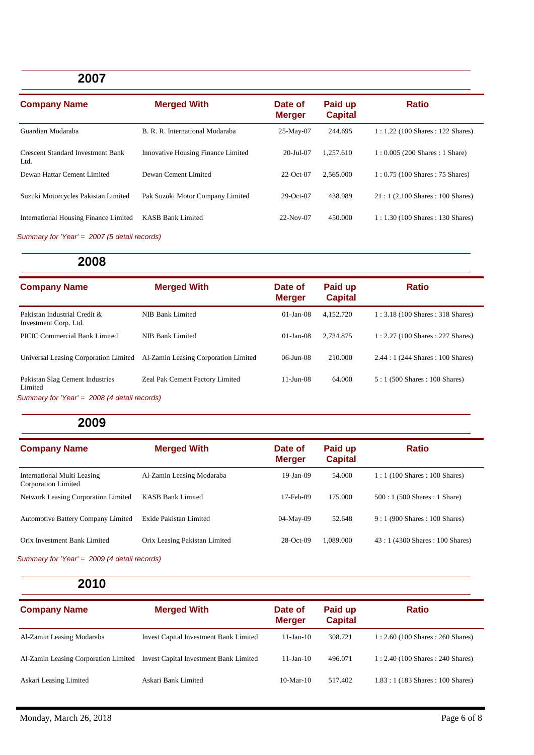## **2007**

| <b>Company Name</b>                              | <b>Merged With</b>                        | Date of<br><b>Merger</b> | Paid up<br><b>Capital</b> | <b>Ratio</b>                                     |
|--------------------------------------------------|-------------------------------------------|--------------------------|---------------------------|--------------------------------------------------|
| Guardian Modaraba                                | B. R. R. International Modaraba           | $25-May-07$              | 244.695                   | $1:1.22(100 \text{ shares}:122 \text{ shares})$  |
| <b>Crescent Standard Investment Bank</b><br>Ltd. | <b>Innovative Housing Finance Limited</b> | $20 - \text{Jul} - 07$   | 1.257.610                 | $1: 0.005$ (200 Shares: 1 Share)                 |
| Dewan Hattar Cement Limited                      | Dewan Cement Limited                      | $22$ -Oct-07             | 2.565.000                 | $1: 0.75$ (100 Shares: 75 Shares)                |
| Suzuki Motorcycles Pakistan Limited              | Pak Suzuki Motor Company Limited          | $29-Oct-07$              | 438.989                   | $21:1(2,100 \text{ shares}: 100 \text{ shares})$ |
| International Housing Finance Limited            | <b>KASB Bank Limited</b>                  | $22-Nov-07$              | 450.000                   | $1:1.30(100 \text{ shares}:130 \text{ shares})$  |

*Summary for 'Year' = 2007 (5 detail records)*

### **2008**

| <b>Company Name</b>                                                                        | <b>Merged With</b>                   | Date of<br><b>Merger</b> | Paid up<br><b>Capital</b> | <b>Ratio</b>                                     |
|--------------------------------------------------------------------------------------------|--------------------------------------|--------------------------|---------------------------|--------------------------------------------------|
| Pakistan Industrial Credit &<br>Investment Corp. Ltd.                                      | NIB Bank Limited                     | $01$ -Jan-08             | 4.152.720                 | $1:3.18(100 \text{ shares}:318 \text{ shares})$  |
| <b>PICIC Commercial Bank Limited</b>                                                       | NIB Bank Limited                     | $01$ -Jan-08             | 2.734.875                 | $1:2.27(100 \text{ shares}:227 \text{ shares})$  |
| Universal Leasing Corporation Limited                                                      | Al-Zamin Leasing Corporation Limited | $06 - Jun - 08$          | 210.000                   | $2.44:1(244 \text{ shares}: 100 \text{ shares})$ |
| Pakistan Slag Cement Industries<br>Limited<br>Summary for 'Year' = 2008 (4 detail records) | Zeal Pak Cement Factory Limited      | $11 - Jun-08$            | 64.000                    | $5:1(500 \text{ shares}: 100 \text{ shares})$    |

## **2009**

| <b>Company Name</b>                                | <b>Merged With</b>            | Date of<br><b>Merger</b> | Paid up<br><b>Capital</b> | <b>Ratio</b>                                    |
|----------------------------------------------------|-------------------------------|--------------------------|---------------------------|-------------------------------------------------|
| International Multi Leasing<br>Corporation Limited | Al-Zamin Leasing Modaraba     | $19$ -Jan-09             | 54.000                    | $1:1(100 \text{ shares}:100 \text{ shares})$    |
| Network Leasing Corporation Limited                | <b>KASB Bank Limited</b>      | $17$ -Feb-09             | 175.000                   | $500:1(500 \text{ shares}:1 \text{Share})$      |
| <b>Automotive Battery Company Limited</b>          | Exide Pakistan Limited        | 04-May-09                | 52.648                    | $9:1(900 \text{ shares}: 100 \text{ shares})$   |
| Orix Investment Bank Limited                       | Orix Leasing Pakistan Limited | $28$ -Oct-09             | 1.089.000                 | $43:1(4300 \text{ shares}: 100 \text{ shares})$ |

*Summary for 'Year' = 2009 (4 detail records)*

| <b>Company Name</b>                  | <b>Merged With</b>                            | Date of<br><b>Merger</b> | Paid up<br><b>Capital</b> | <b>Ratio</b>                                    |
|--------------------------------------|-----------------------------------------------|--------------------------|---------------------------|-------------------------------------------------|
| Al-Zamin Leasing Modaraba            | <b>Invest Capital Investment Bank Limited</b> | $11$ -Jan- $10$          | 308.721                   | $1:2.60(100 \text{ shares}:260 \text{ shares})$ |
| Al-Zamin Leasing Corporation Limited | <b>Invest Capital Investment Bank Limited</b> | $11$ -Jan- $10$          | 496.071                   | $1:2.40(100 \text{ shares}:240 \text{ shares})$ |
| Askari Leasing Limited               | Askari Bank Limited                           | $10-Mar-10$              | 517.402                   | $1.83:1(183 \text{ shares}:100 \text{ shares})$ |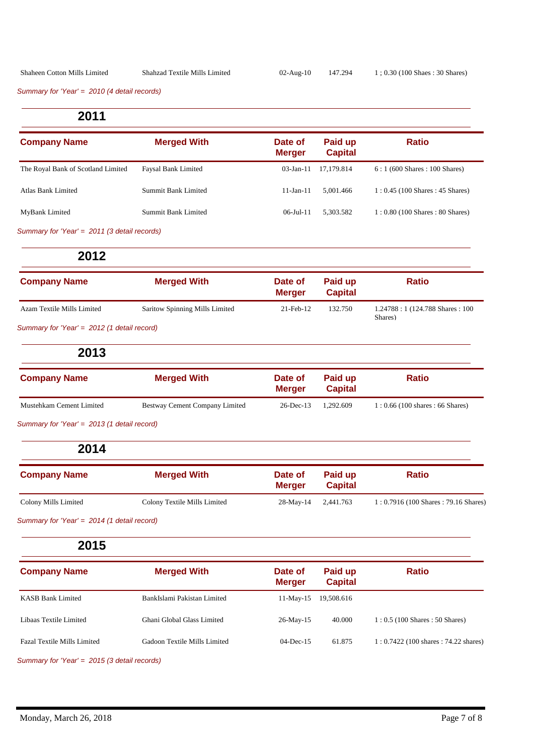*Summary for 'Year' = 2010 (4 detail records)*

**2011**

| <b>Company Name</b>                          | <b>Merged With</b>         | Date of<br><b>Merger</b> | Paid up<br><b>Capital</b> | <b>Ratio</b>                                    |
|----------------------------------------------|----------------------------|--------------------------|---------------------------|-------------------------------------------------|
| The Royal Bank of Scotland Limited           | <b>Faysal Bank Limited</b> | $03$ -Jan-11             | 17.179.814                | $6:1(600 \text{ shares}: 100 \text{ shares})$   |
| Atlas Bank Limited                           | Summit Bank Limited        | $11$ -Jan-11             | 5.001.466                 | $1: 0.45$ (100 Shares : 45 Shares)              |
| MyBank Limited                               | Summit Bank Limited        | $06 -$ Jul-11            | 5.303.582                 | $1:0.80(100 \text{ shares}: 80 \text{ shares})$ |
| Summary for 'Year' = 2011 (3 detail records) |                            |                          |                           |                                                 |

**2012**

| <b>Company Name</b>                         | <b>Merged With</b>             | Date of<br><b>Merger</b> | Paid up<br><b>Capital</b> | <b>Ratio</b>                                  |
|---------------------------------------------|--------------------------------|--------------------------|---------------------------|-----------------------------------------------|
| Azam Textile Mills Limited                  | Saritow Spinning Mills Limited | 21-Feb-12                | 132.750                   | 1.24788 : 1 (124.788 Shares : 100)<br>Shares) |
| Summary for 'Year' = 2012 (1 detail record) |                                |                          |                           |                                               |

**2013**

| <b>Company Name</b>      | <b>Merged With</b>             | Date of<br><b>Merger</b> | Paid up<br><b>Capital</b> | <b>Ratio</b>                       |
|--------------------------|--------------------------------|--------------------------|---------------------------|------------------------------------|
| Mustehkam Cement Limited | Bestway Cement Company Limited | 26-Dec-13 1.292.609      |                           | $1: 0.66$ (100 shares : 66 Shares) |

*Summary for 'Year' = 2013 (1 detail record)*

**2014**

| <b>Company Name</b>  | <b>Merged With</b>           | Date of<br>Meraer | Paid up<br><b>Capital</b> | <b>Ratio</b>                                            |
|----------------------|------------------------------|-------------------|---------------------------|---------------------------------------------------------|
| Colony Mills Limited | Colony Textile Mills Limited | $28$ -May-14      | 2,441.763                 | $1: 0.7916 (100 \text{ shares} : 79.16 \text{ shares})$ |

*Summary for 'Year' = 2014 (1 detail record)*

#### **2015**

| <b>Company Name</b>                | <b>Merged With</b>           | Date of<br><b>Merger</b> | Paid up<br><b>Capital</b> | <b>Ratio</b>                            |
|------------------------------------|------------------------------|--------------------------|---------------------------|-----------------------------------------|
| <b>KASB Bank Limited</b>           | BankIslami Pakistan Limited  | $11-May-15$              | 19,508.616                |                                         |
| Libaas Textile Limited             | Ghani Global Glass Limited   | $26$ -May-15             | 40.000                    | $1: 0.5$ (100 Shares : 50 Shares)       |
| <b>Fazal Textile Mills Limited</b> | Gadoon Textile Mills Limited | $04$ -Dec-15             | 61.875                    | $1: 0.7422$ (100 shares : 74.22 shares) |

*Summary for 'Year' = 2015 (3 detail records)*